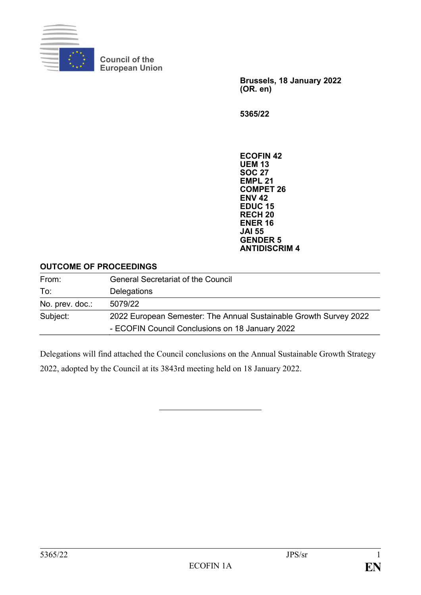

**Council of the European Union**

> **Brussels, 18 January 2022 (OR. en)**

**5365/22**

**ECOFIN 42 UEM 13 SOC 27 EMPL 21 COMPET 26 ENV 42 EDUC 15 RECH 20 ENER 16 JAI 55 GENDER 5 ANTIDISCRIM 4**

## **OUTCOME OF PROCEEDINGS**

| From:           | <b>General Secretariat of the Council</b>                         |
|-----------------|-------------------------------------------------------------------|
| To:             | Delegations                                                       |
| No. prev. doc.: | 5079/22                                                           |
| Subject:        | 2022 European Semester: The Annual Sustainable Growth Survey 2022 |
|                 | - ECOFIN Council Conclusions on 18 January 2022                   |

Delegations will find attached the Council conclusions on the Annual Sustainable Growth Strategy 2022, adopted by the Council at its 3843rd meeting held on 18 January 2022.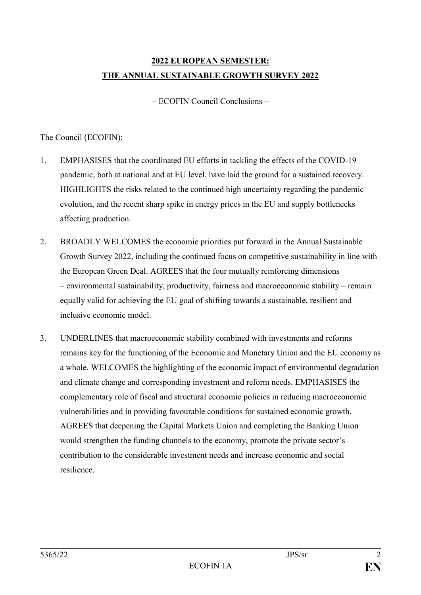## **2022 EUROPEAN SEMESTER: THE ANNUAL SUSTAINABLE GROWTH SURVEY 2022**

– ECOFIN Council Conclusions –

## The Council (ECOFIN):

- 1. EMPHASISES that the coordinated EU efforts in tackling the effects of the COVID-19 pandemic, both at national and at EU level, have laid the ground for a sustained recovery. HIGHLIGHTS the risks related to the continued high uncertainty regarding the pandemic evolution, and the recent sharp spike in energy prices in the EU and supply bottlenecks affecting production.
- 2. BROADLY WELCOMES the economic priorities put forward in the Annual Sustainable Growth Survey 2022, including the continued focus on competitive sustainability in line with the European Green Deal. AGREES that the four mutually reinforcing dimensions – environmental sustainability, productivity, fairness and macroeconomic stability – remain equally valid for achieving the EU goal of shifting towards a sustainable, resilient and inclusive economic model.
- 3. UNDERLINES that macroeconomic stability combined with investments and reforms remains key for the functioning of the Economic and Monetary Union and the EU economy as a whole. WELCOMES the highlighting of the economic impact of environmental degradation and climate change and corresponding investment and reform needs. EMPHASISES the complementary role of fiscal and structural economic policies in reducing macroeconomic vulnerabilities and in providing favourable conditions for sustained economic growth. AGREES that deepening the Capital Markets Union and completing the Banking Union would strengthen the funding channels to the economy, promote the private sector's contribution to the considerable investment needs and increase economic and social resilience.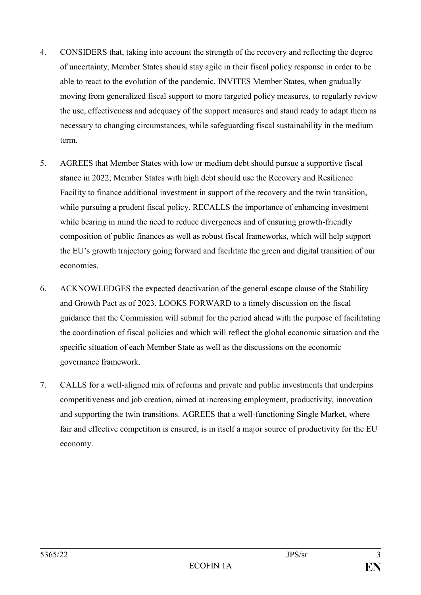- 4. CONSIDERS that, taking into account the strength of the recovery and reflecting the degree of uncertainty, Member States should stay agile in their fiscal policy response in order to be able to react to the evolution of the pandemic. INVITES Member States, when gradually moving from generalized fiscal support to more targeted policy measures, to regularly review the use, effectiveness and adequacy of the support measures and stand ready to adapt them as necessary to changing circumstances, while safeguarding fiscal sustainability in the medium term.
- 5. AGREES that Member States with low or medium debt should pursue a supportive fiscal stance in 2022; Member States with high debt should use the Recovery and Resilience Facility to finance additional investment in support of the recovery and the twin transition, while pursuing a prudent fiscal policy. RECALLS the importance of enhancing investment while bearing in mind the need to reduce divergences and of ensuring growth-friendly composition of public finances as well as robust fiscal frameworks, which will help support the EU's growth trajectory going forward and facilitate the green and digital transition of our economies.
- 6. ACKNOWLEDGES the expected deactivation of the general escape clause of the Stability and Growth Pact as of 2023. LOOKS FORWARD to a timely discussion on the fiscal guidance that the Commission will submit for the period ahead with the purpose of facilitating the coordination of fiscal policies and which will reflect the global economic situation and the specific situation of each Member State as well as the discussions on the economic governance framework.
- 7. CALLS for a well-aligned mix of reforms and private and public investments that underpins competitiveness and job creation, aimed at increasing employment, productivity, innovation and supporting the twin transitions. AGREES that a well-functioning Single Market, where fair and effective competition is ensured, is in itself a major source of productivity for the EU economy.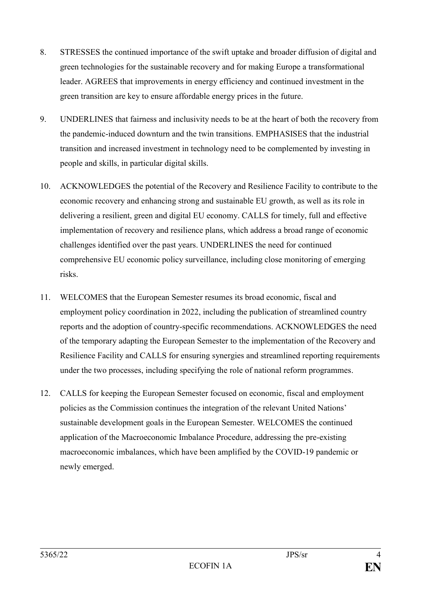- 8. STRESSES the continued importance of the swift uptake and broader diffusion of digital and green technologies for the sustainable recovery and for making Europe a transformational leader. AGREES that improvements in energy efficiency and continued investment in the green transition are key to ensure affordable energy prices in the future.
- 9. UNDERLINES that fairness and inclusivity needs to be at the heart of both the recovery from the pandemic-induced downturn and the twin transitions. EMPHASISES that the industrial transition and increased investment in technology need to be complemented by investing in people and skills, in particular digital skills.
- 10. ACKNOWLEDGES the potential of the Recovery and Resilience Facility to contribute to the economic recovery and enhancing strong and sustainable EU growth, as well as its role in delivering a resilient, green and digital EU economy. CALLS for timely, full and effective implementation of recovery and resilience plans, which address a broad range of economic challenges identified over the past years. UNDERLINES the need for continued comprehensive EU economic policy surveillance, including close monitoring of emerging risks.
- 11. WELCOMES that the European Semester resumes its broad economic, fiscal and employment policy coordination in 2022, including the publication of streamlined country reports and the adoption of country-specific recommendations. ACKNOWLEDGES the need of the temporary adapting the European Semester to the implementation of the Recovery and Resilience Facility and CALLS for ensuring synergies and streamlined reporting requirements under the two processes, including specifying the role of national reform programmes.
- 12. CALLS for keeping the European Semester focused on economic, fiscal and employment policies as the Commission continues the integration of the relevant United Nations' sustainable development goals in the European Semester. WELCOMES the continued application of the Macroeconomic Imbalance Procedure, addressing the pre-existing macroeconomic imbalances, which have been amplified by the COVID-19 pandemic or newly emerged.